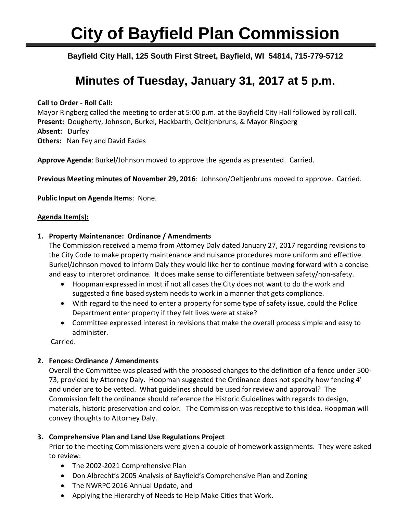# **City of Bayfield Plan Commission**

Ī **Bayfield City Hall, 125 South First Street, Bayfield, WI 54814, 715-779-5712**

# **Minutes of Tuesday, January 31, 2017 at 5 p.m.**

#### **Call to Order - Roll Call:**

Mayor Ringberg called the meeting to order at 5:00 p.m. at the Bayfield City Hall followed by roll call. **Present:** Dougherty, Johnson, Burkel, Hackbarth, Oeltjenbruns, & Mayor Ringberg **Absent:** Durfey **Others:** Nan Fey and David Eades

**Approve Agenda**: Burkel/Johnson moved to approve the agenda as presented. Carried.

**Previous Meeting minutes of November 29, 2016**: Johnson/Oeltjenbruns moved to approve. Carried.

**Public Input on Agenda Items**: None.

#### **Agenda Item(s):**

#### **1. Property Maintenance: Ordinance / Amendments**

The Commission received a memo from Attorney Daly dated January 27, 2017 regarding revisions to the City Code to make property maintenance and nuisance procedures more uniform and effective. Burkel/Johnson moved to inform Daly they would like her to continue moving forward with a concise and easy to interpret ordinance. It does make sense to differentiate between safety/non-safety.

- Hoopman expressed in most if not all cases the City does not want to do the work and suggested a fine based system needs to work in a manner that gets compliance.
- With regard to the need to enter a property for some type of safety issue, could the Police Department enter property if they felt lives were at stake?
- Committee expressed interest in revisions that make the overall process simple and easy to administer.

Carried.

## **2. Fences: Ordinance / Amendments**

Overall the Committee was pleased with the proposed changes to the definition of a fence under 500- 73, provided by Attorney Daly. Hoopman suggested the Ordinance does not specify how fencing 4' and under are to be vetted. What guidelines should be used for review and approval? The Commission felt the ordinance should reference the Historic Guidelines with regards to design, materials, historic preservation and color. The Commission was receptive to this idea. Hoopman will convey thoughts to Attorney Daly.

## **3. Comprehensive Plan and Land Use Regulations Project**

Prior to the meeting Commissioners were given a couple of homework assignments. They were asked to review:

- The 2002-2021 Comprehensive Plan
- Don Albrecht's 2005 Analysis of Bayfield's Comprehensive Plan and Zoning
- The NWRPC 2016 Annual Update, and
- Applying the Hierarchy of Needs to Help Make Cities that Work.